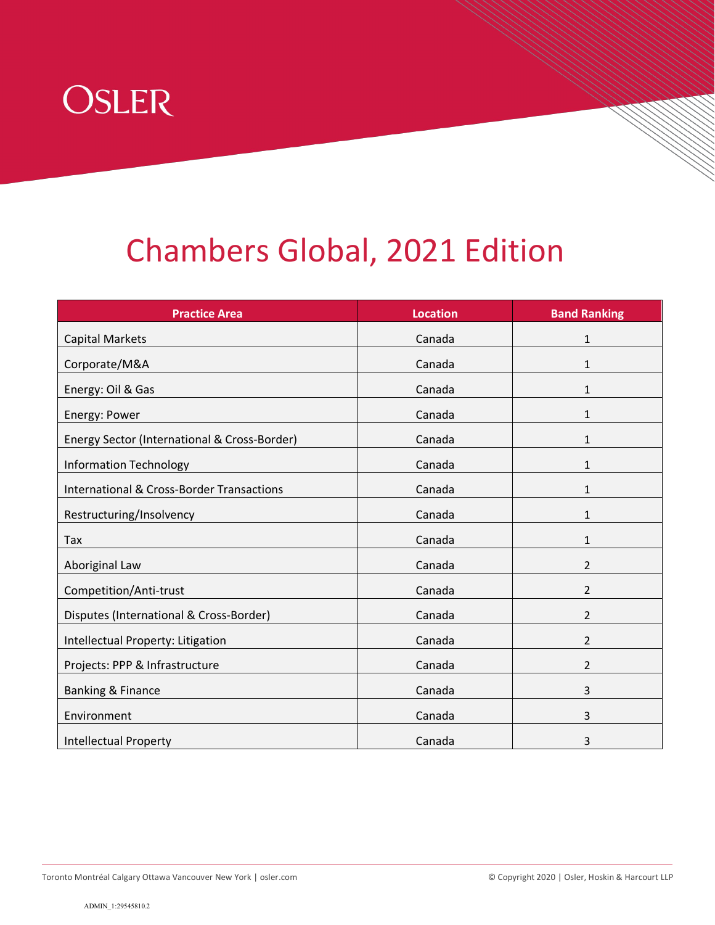

## Chambers Global, 2021 Edition

| <b>Practice Area</b>                                 | <b>Location</b> | <b>Band Ranking</b> |
|------------------------------------------------------|-----------------|---------------------|
| <b>Capital Markets</b>                               | Canada          | 1                   |
| Corporate/M&A                                        | Canada          | 1                   |
| Energy: Oil & Gas                                    | Canada          | 1                   |
| Energy: Power                                        | Canada          | 1                   |
| Energy Sector (International & Cross-Border)         | Canada          | 1                   |
| <b>Information Technology</b>                        | Canada          | 1                   |
| <b>International &amp; Cross-Border Transactions</b> | Canada          | 1                   |
| Restructuring/Insolvency                             | Canada          | 1                   |
| Tax                                                  | Canada          | 1                   |
| Aboriginal Law                                       | Canada          | $\overline{2}$      |
| Competition/Anti-trust                               | Canada          | $\overline{2}$      |
| Disputes (International & Cross-Border)              | Canada          | $\overline{2}$      |
| Intellectual Property: Litigation                    | Canada          | 2                   |
| Projects: PPP & Infrastructure                       | Canada          | 2                   |
| Banking & Finance                                    | Canada          | 3                   |
| Environment                                          | Canada          | 3                   |
| <b>Intellectual Property</b>                         | Canada          | 3                   |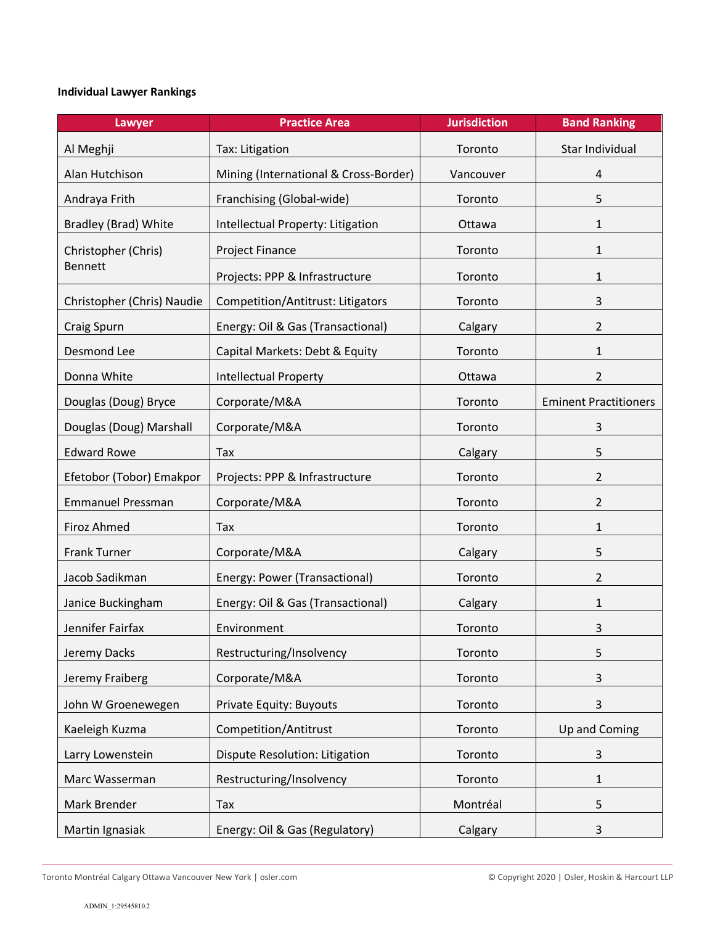## **Individual Lawyer Rankings**

| Lawyer                                | <b>Practice Area</b>                  | <b>Jurisdiction</b> | <b>Band Ranking</b>          |
|---------------------------------------|---------------------------------------|---------------------|------------------------------|
| Al Meghji                             | Tax: Litigation                       | Toronto             | Star Individual              |
| Alan Hutchison                        | Mining (International & Cross-Border) | Vancouver           | 4                            |
| Andraya Frith                         | Franchising (Global-wide)             | Toronto             | 5                            |
| <b>Bradley (Brad) White</b>           | Intellectual Property: Litigation     | Ottawa              | 1                            |
| Christopher (Chris)<br><b>Bennett</b> | Project Finance                       | Toronto             | 1                            |
|                                       | Projects: PPP & Infrastructure        | Toronto             | 1                            |
| Christopher (Chris) Naudie            | Competition/Antitrust: Litigators     | Toronto             | 3                            |
| Craig Spurn                           | Energy: Oil & Gas (Transactional)     | Calgary             | 2                            |
| Desmond Lee                           | Capital Markets: Debt & Equity        | Toronto             | 1                            |
| Donna White                           | <b>Intellectual Property</b>          | Ottawa              | $\overline{2}$               |
| Douglas (Doug) Bryce                  | Corporate/M&A                         | Toronto             | <b>Eminent Practitioners</b> |
| Douglas (Doug) Marshall               | Corporate/M&A                         | Toronto             | 3                            |
| <b>Edward Rowe</b>                    | Tax                                   | Calgary             | 5                            |
| Efetobor (Tobor) Emakpor              | Projects: PPP & Infrastructure        | Toronto             | 2                            |
| <b>Emmanuel Pressman</b>              | Corporate/M&A                         | Toronto             | 2                            |
| <b>Firoz Ahmed</b>                    | Tax                                   | Toronto             | 1                            |
| <b>Frank Turner</b>                   | Corporate/M&A                         | Calgary             | 5                            |
| Jacob Sadikman                        | Energy: Power (Transactional)         | Toronto             | $\overline{2}$               |
| Janice Buckingham                     | Energy: Oil & Gas (Transactional)     | Calgary             | 1                            |
| Jennifer Fairfax                      | Environment                           | Toronto             | 3                            |
| Jeremy Dacks                          | Restructuring/Insolvency              | Toronto             | 5                            |
| Jeremy Fraiberg                       | Corporate/M&A                         | Toronto             | 3                            |
| John W Groenewegen                    | Private Equity: Buyouts               | Toronto             | 3                            |
| Kaeleigh Kuzma                        | Competition/Antitrust                 | Toronto             | Up and Coming                |
| Larry Lowenstein                      | Dispute Resolution: Litigation        | Toronto             | 3                            |
| Marc Wasserman                        | Restructuring/Insolvency              | Toronto             | 1                            |
| Mark Brender                          | Tax                                   | Montréal            | 5                            |
| Martin Ignasiak                       | Energy: Oil & Gas (Regulatory)        | Calgary             | 3                            |

Toronto Montréal Calgary Ottawa Vancouver New York | osler.com © Copyright 2020 | Osler, Hoskin & Harcourt LLP